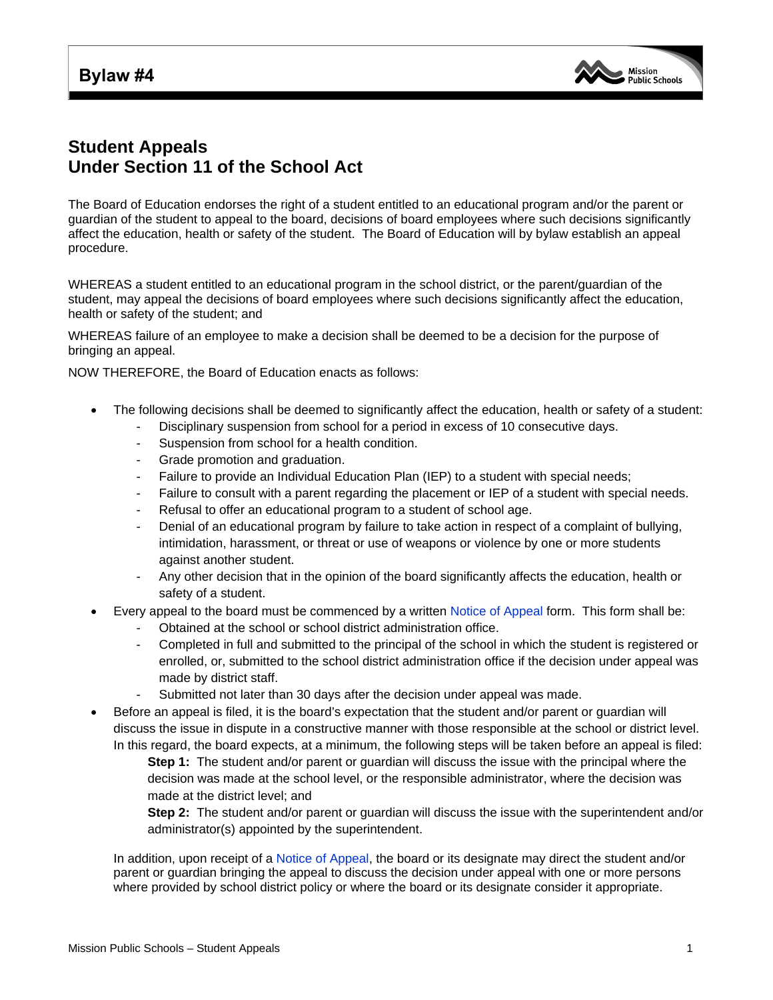## **Bylaw #4**



## **Student Appeals Under Section 11 of the School Act**

The Board of Education endorses the right of a student entitled to an educational program and/or the parent or guardian of the student to appeal to the board, decisions of board employees where such decisions significantly affect the education, health or safety of the student. The Board of Education will by bylaw establish an appeal procedure.

WHEREAS a student entitled to an educational program in the school district, or the parent/guardian of the student, may appeal the decisions of board employees where such decisions significantly affect the education, health or safety of the student; and

WHEREAS failure of an employee to make a decision shall be deemed to be a decision for the purpose of bringing an appeal.

NOW THEREFORE, the Board of Education enacts as follows:

- The following decisions shall be deemed to significantly affect the education, health or safety of a student:
	- Disciplinary suspension from school for a period in excess of 10 consecutive days.
	- Suspension from school for a health condition.
	- Grade promotion and graduation.
	- Failure to provide an Individual Education Plan (IEP) to a student with special needs;
	- Failure to consult with a parent regarding the placement or IEP of a student with special needs.
	- Refusal to offer an educational program to a student of school age.
	- Denial of an educational program by failure to take action in respect of a complaint of bullying, intimidation, harassment, or threat or use of weapons or violence by one or more students against another student.
	- Any other decision that in the opinion of the board significantly affects the education, health or safety of a student.
- Every appeal to the board must be commenced by a written [Notice of Appeal](http://www.mpsd.ca/districtinformation/forms/Notice_of_Appeal.pdf) form. This form shall be:
	- Obtained at the school or school district administration office.
	- Completed in full and submitted to the principal of the school in which the student is registered or enrolled, or, submitted to the school district administration office if the decision under appeal was made by district staff.
	- Submitted not later than 30 days after the decision under appeal was made.
- Before an appeal is filed, it is the board's expectation that the student and/or parent or guardian will discuss the issue in dispute in a constructive manner with those responsible at the school or district level. In this regard, the board expects, at a minimum, the following steps will be taken before an appeal is filed:

**Step 1:** The student and/or parent or guardian will discuss the issue with the principal where the decision was made at the school level, or the responsible administrator, where the decision was made at the district level; and

**Step 2:** The student and/or parent or guardian will discuss the issue with the superintendent and/or administrator(s) appointed by the superintendent.

In addition, upon receipt of a [Notice of Appeal,](http://www.mpsd.ca/districtinformation/forms/Notice_of_Appeal.pdf) the board or its designate may direct the student and/or parent or guardian bringing the appeal to discuss the decision under appeal with one or more persons where provided by school district policy or where the board or its designate consider it appropriate.